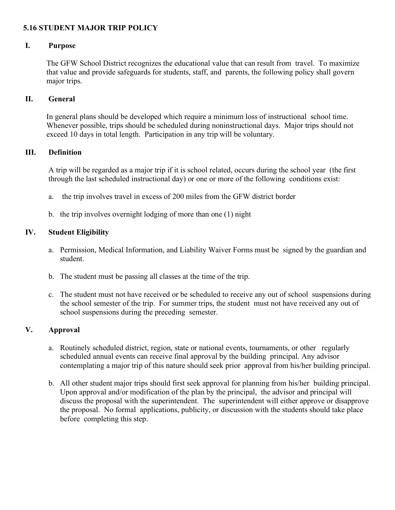## **5.16 STUDENT MAJOR TRIP POLICY**

## **I. Purpose**

The GFW School District recognizes the educational value that can result from travel. To maximize that value and provide safeguards for students, staff, and parents, the following policy shall govern major trips.

#### **II. General**

In general plans should be developed which require a minimum loss of instructional school time. Whenever possible, trips should be scheduled during noninstructional days. Major trips should not exceed 10 days in total length. Participation in any trip will be voluntary.

#### **III. Definition**

A trip will be regarded as a major trip if it is school related, occurs during the school year (the first through the last scheduled instructional day) or one or more of the following conditions exist:

- a. the trip involves travel in excess of 200 miles from the GFW district border
- b. the trip involves overnight lodging of more than one (1) night

# **IV. Student Eligibility**

- a. Permission, Medical Information, and Liability Waiver Forms must be signed by the guardian and student.
- b. The student must be passing all classes at the time of the trip.
- c. The student must not have received or be scheduled to receive any out of school suspensions during the school semester of the trip. For summer trips, the student must not have received any out of school suspensions during the preceding semester.

## **V. Approval**

- a. Routinely scheduled district, region, state or national events, tournaments, or other regularly scheduled annual events can receive final approval by the building principal. Any advisor contemplating a major trip of this nature should seek prior approval from his/her building principal.
- b. All other student major trips should first seek approval for planning from his/her building principal. Upon approval and/or modification of the plan by the principal, the advisor and principal will discuss the proposal with the superintendent. The superintendent will either approve or disapprove the proposal. No formal applications, publicity, or discussion with the students should take place before completing this step.